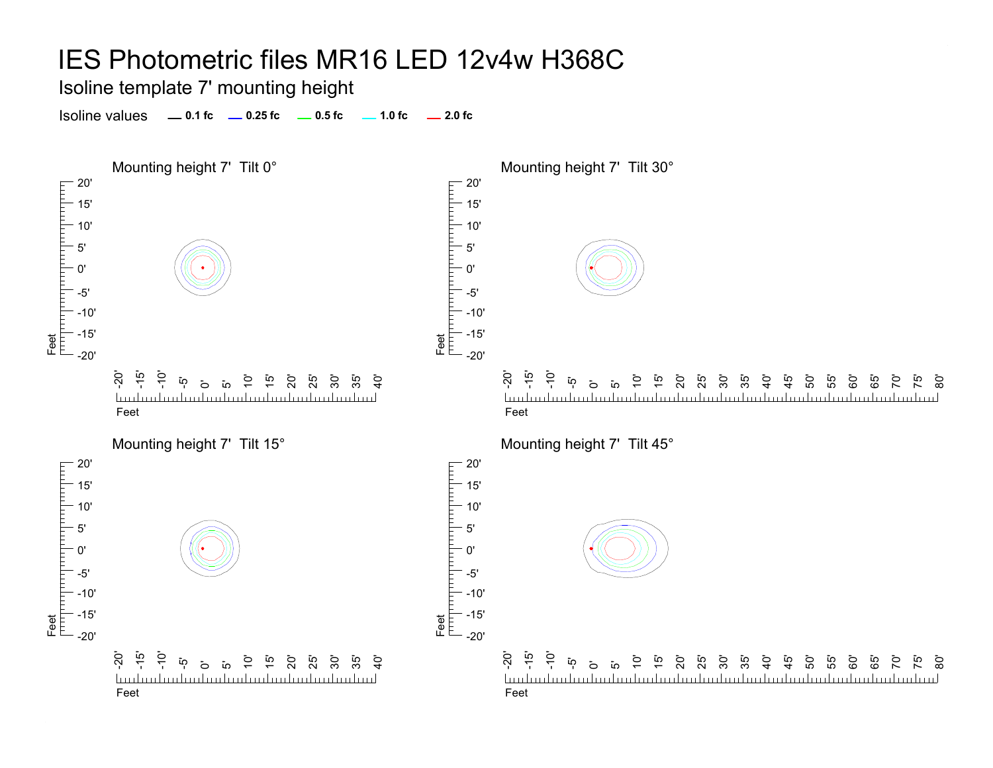Isoline template 7' mounting height

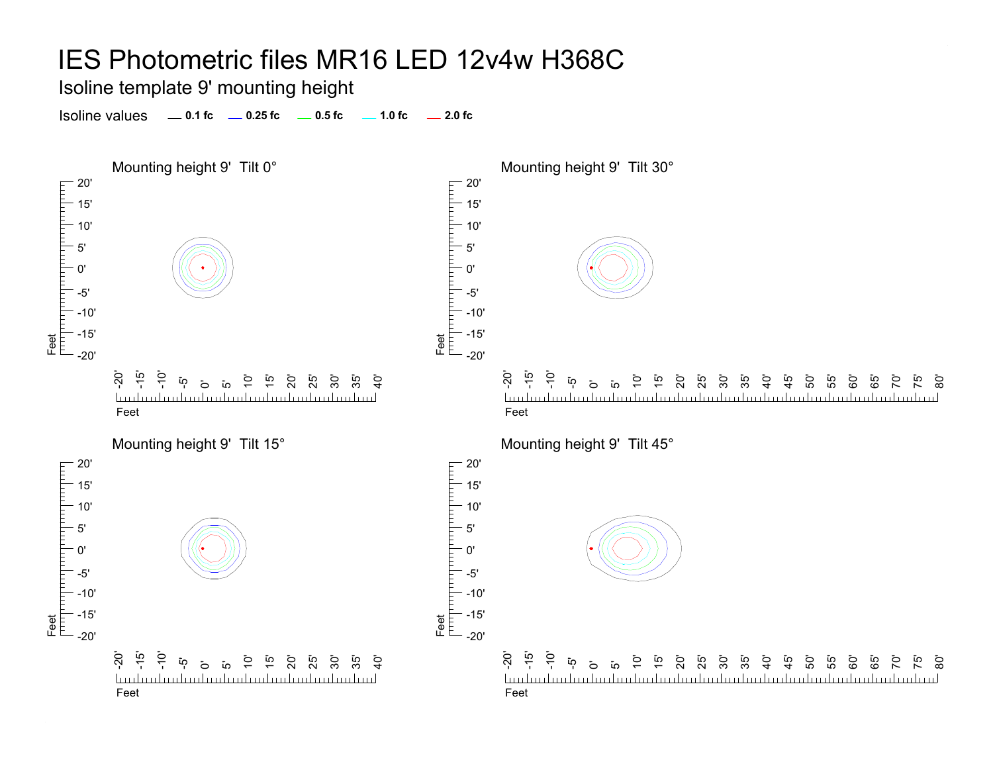Isoline template 9' mounting height

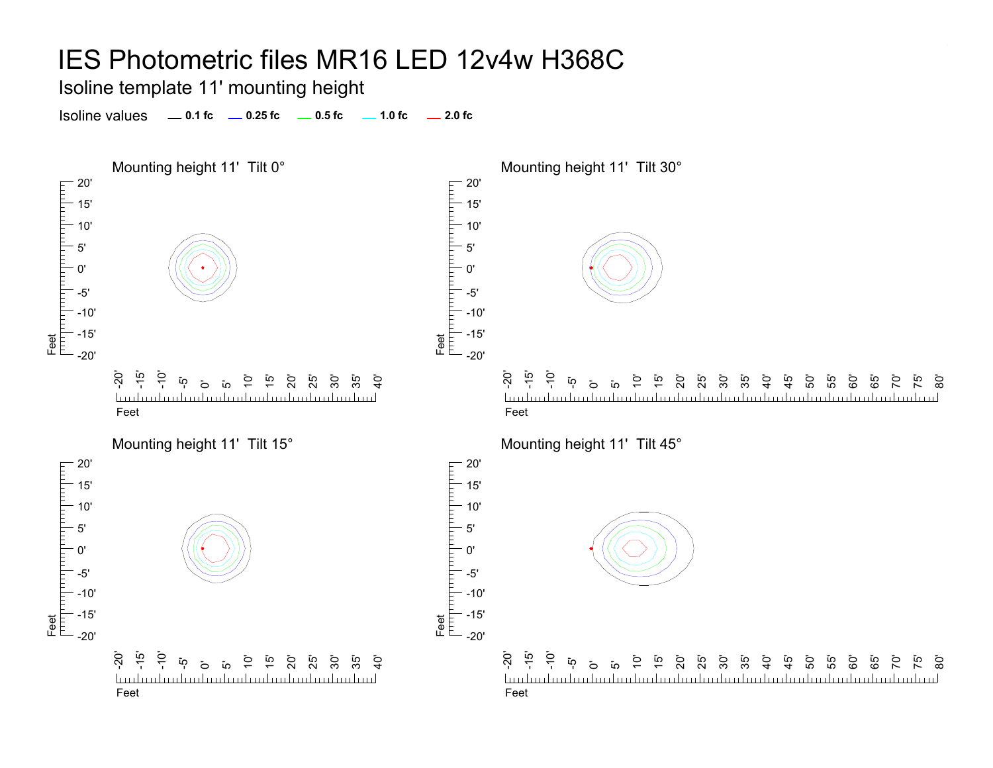Isoline template 11' mounting height

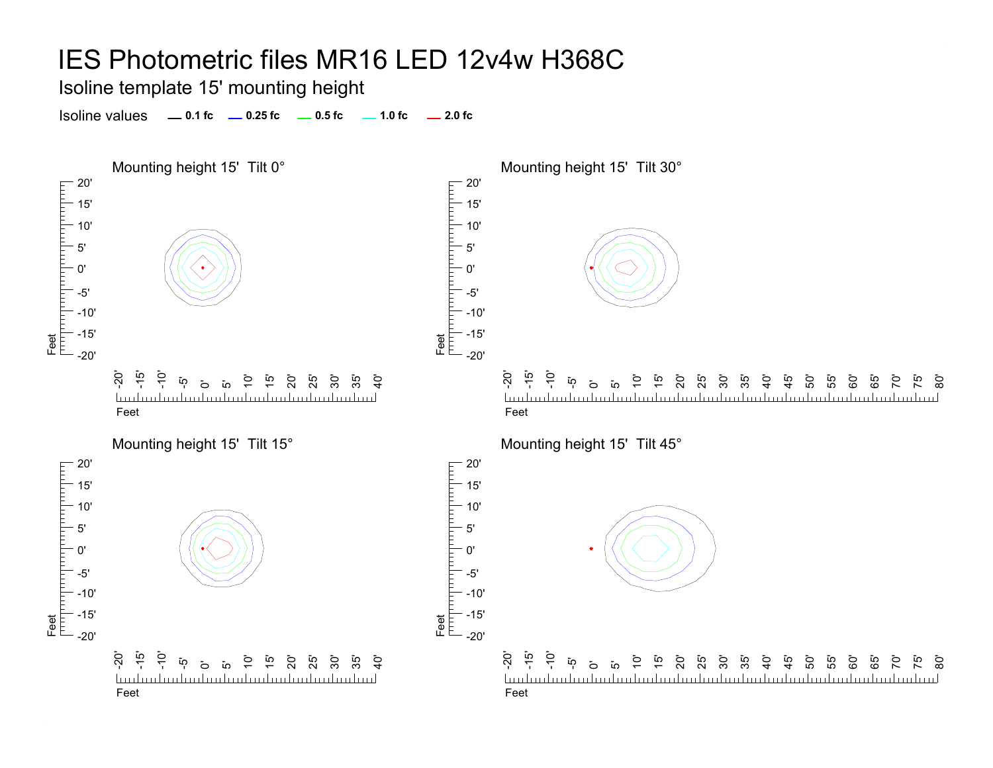Isoline template 15' mounting height

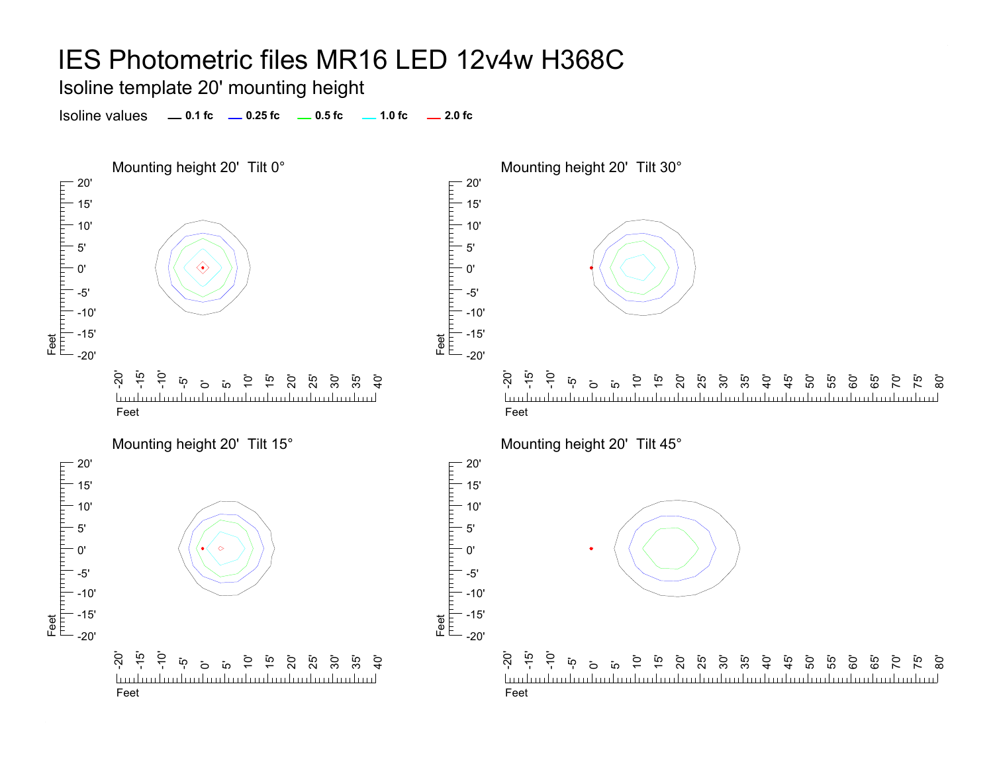Isoline template 20' mounting height

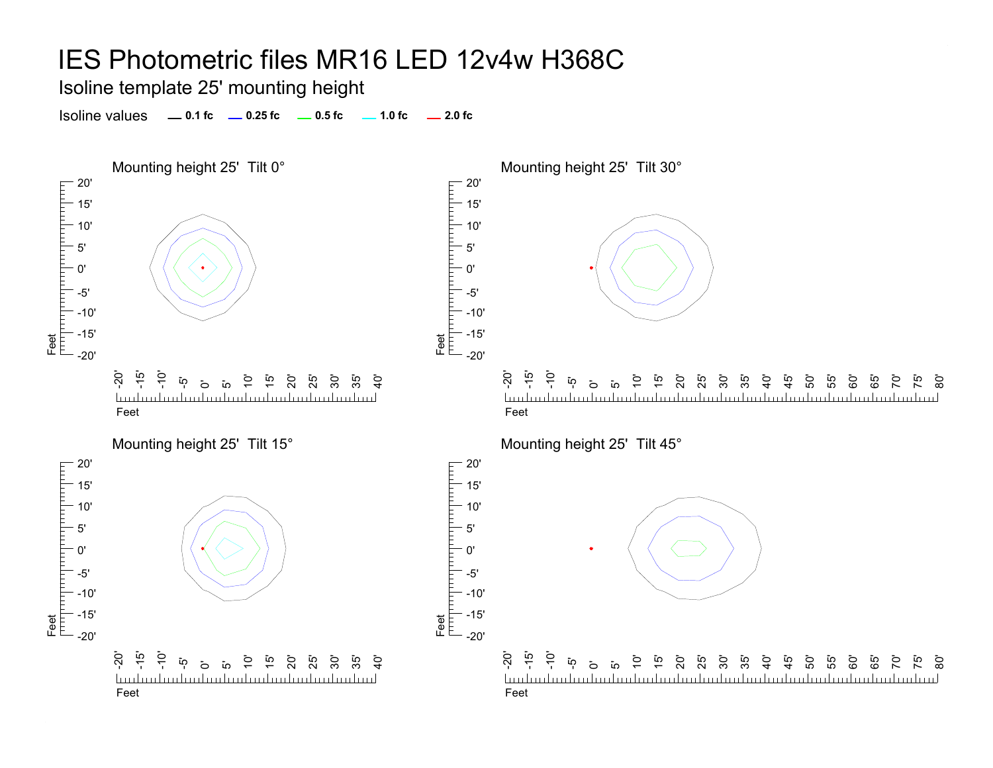Isoline template 25' mounting height

Isoline values **0.1 fc 0.25 fc 0.5 fc 2.0 fc 1.0 fc**



70' <u>تہ</u> 80'

 $\overline{5}$ 75' ික